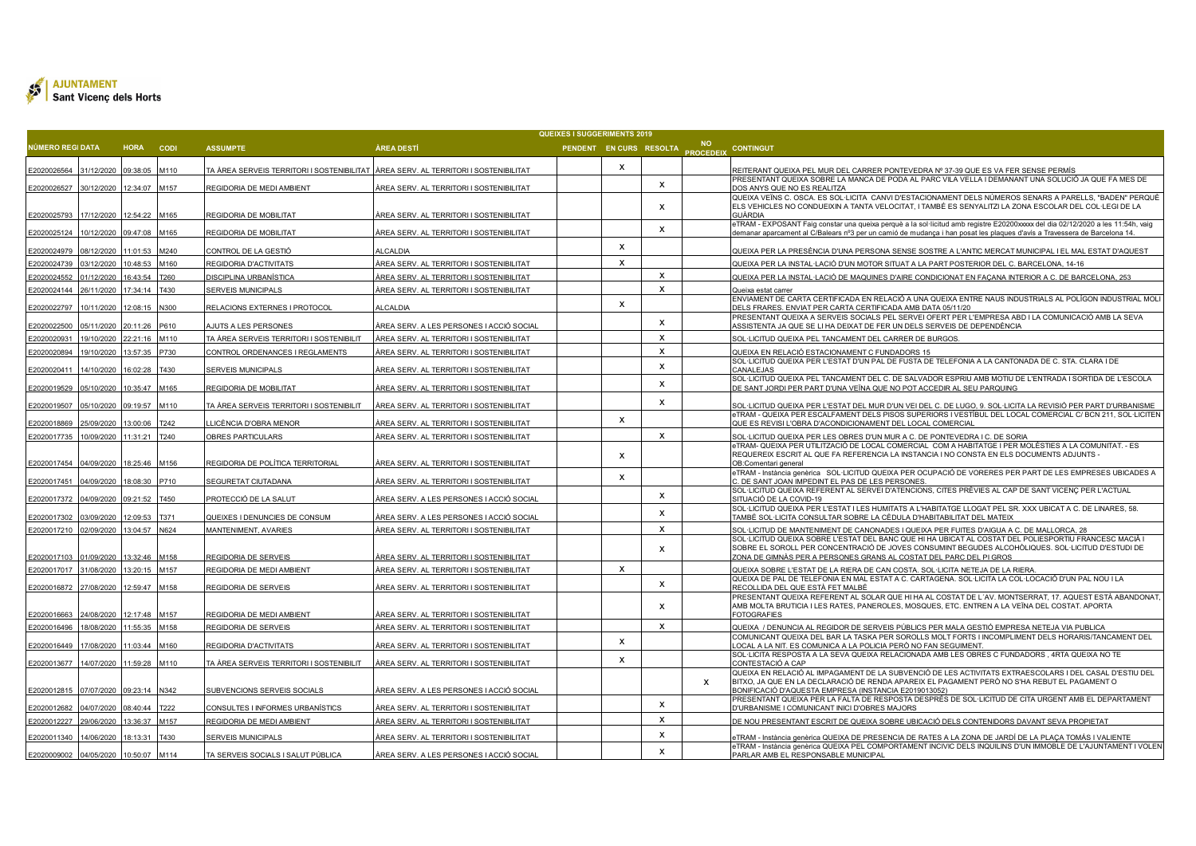

|                            |                          |                                |            |                                                                                       |                                                                                             | <b>QUEIXES I SUGGERIMENTS 2019</b> |              |                           |   |                                                                                                                                                                                                                                                                   |
|----------------------------|--------------------------|--------------------------------|------------|---------------------------------------------------------------------------------------|---------------------------------------------------------------------------------------------|------------------------------------|--------------|---------------------------|---|-------------------------------------------------------------------------------------------------------------------------------------------------------------------------------------------------------------------------------------------------------------------|
| <b>IÚMERO REGI DATA</b>    |                          | HORA CODI                      |            | <b>ASSUMPTE</b>                                                                       | ÀREA DESTÍ                                                                                  |                                    |              |                           |   | PENDENT EN CURS RESOLTA NO<br>PROCEDEIX CONTINGUT                                                                                                                                                                                                                 |
| E2020026564                | 31/12/2020               | 09:38:05                       | M110       | TA ÀREA SERVEIS TERRITORI I SOSTENIBILITAT   ÀREA SERV. AL TERRITORI I SOSTENIBILITAT |                                                                                             |                                    | x            |                           |   | REITERANT QUEIXA PEL MUR DEL CARRER PONTEVEDRA Nº 37-39 QUE ES VA FER SENSE PERMÍS                                                                                                                                                                                |
| E2020026527                | 30/12/2020               | 12:34:07 M157                  |            | REGIDORIA DE MEDI AMBIENT                                                             | ÀREA SERV. AL TERRITORI I SOSTENIBILITAT                                                    |                                    |              | $\mathsf{x}$              |   | PRESENTANT QUEIXA SOBRE LA MANCA DE PODA AL PARC VILA VELLA I DEMANANT UNA SOLUCIÓ JA QUE FA MES DE<br>DOS ANYS QUE NO ES REALITZA                                                                                                                                |
|                            |                          |                                |            |                                                                                       |                                                                                             |                                    |              |                           |   | QUEIXA VEÏNS C. OSCA. ES SOL·LICITA CANVI D'ESTACIONAMENT DELS NÚMEROS SENARS A PARELLS, "BADEN" PERQUÈ                                                                                                                                                           |
| E2020025793                | 17/12/2020               | 12:54:22 M165                  |            | REGIDORIA DE MOBILITAT                                                                | ÀREA SERV. AL TERRITORI I SOSTENIBILITAT                                                    |                                    |              |                           |   | ELS VEHICLES NO CONDUEIXIN A TANTA VELOCITAT, I TAMBÉ ES SENYALITZI LA ZONA ESCOLAR DEL COL·LEGI DE LA<br>GUÀRDIA                                                                                                                                                 |
| E2020025124                | 10/12/2020               | 09:47:08 M165                  |            | REGIDORIA DE MOBILITAT                                                                | ÀREA SERV. AL TERRITORI I SOSTENIBILITAT                                                    |                                    |              | $\mathsf{x}$              |   | eTRAM - EXPOSANT Faig constar una queixa perquè a la sol·licitud amb registre E20200xxxx del dia 02/12/2020 a les 11:54h, vaig<br><u>demanar aparcament al C/Balears nº3 per un camió de mudança i han posat les plaques d'avís a Travessera de Barcelona 14.</u> |
|                            |                          |                                |            |                                                                                       |                                                                                             |                                    | x            |                           |   |                                                                                                                                                                                                                                                                   |
| E2020024979<br>E2020024739 | 08/12/2020<br>03/12/2020 | 11:01:53 M240<br>10:48:53 M160 |            | CONTROL DE LA GESTIÓ<br>REGIDORIA D'ACTIVITATS                                        | <b>ILCALDIA</b><br>ÀREA SERV. AL TERRITORI I SOSTENIBILITAT                                 |                                    | $\mathsf{x}$ |                           |   | QUEIXA PER LA PRESÈNCIA D'UNA PERSONA SENSE SOSTRE A L'ANTIC MERCAT MUNICIPAL I EL MAL ESTAT D'AQUEST<br>QUEIXA PER LA INSTAL·LACIÓ D'UN MOTOR SITUAT A LA PART POSTERIOR DEL C. BARCELONA, 14-16                                                                 |
| 12020024552                | 01/12/2020               | 16:43:54                       | <b>760</b> | DISCIPLINA URBANÍSTICA                                                                | ÀREA SERV. AL TERRITORI I SOSTENIBILITAT                                                    |                                    |              | X                         |   | QUEIXA PER LA INSTAL·LACIÓ DE MAQUINES D'AIRE CONDICIONAT EN FACANA INTERIOR A C. DE BARCELONA, 253                                                                                                                                                               |
|                            |                          |                                |            |                                                                                       |                                                                                             |                                    |              | x                         |   |                                                                                                                                                                                                                                                                   |
| E2020024144                | 26/11/2020               | 17:34:14                       | T430       | SERVEIS MUNICIPALS                                                                    | ÀREA SERV. AL TERRITORI I SOSTENIBILITAT                                                    |                                    |              |                           |   | Queixa estat carrer<br>ENVIAMENT DE CARTA CERTIFICADA EN RELACIÓ A UNA QUEIXA ENTRE NAUS INDUSTRIALS AL POLÍGON INDUSTRIAL MOLI                                                                                                                                   |
| E2020022797                | 10/11/2020               | 12:08:15                       | N300       | RELACIONS EXTERNES I PROTOCOL                                                         | ALCALDIA                                                                                    |                                    | x            |                           |   | DELS FRARES. ENVIAT PER CARTA CERTIFICADA AMB DATA 05/11/20                                                                                                                                                                                                       |
| 12020022500                | 05/11/2020               | 20:11:26 P610                  |            | AJUTS A LES PERSONES                                                                  | ÀREA SERV. A LES PERSONES I ACCIÓ SOCIAL                                                    |                                    |              | x                         |   | PRESENTANT QUEIXA A SERVEIS SOCIALS PEL SERVEI OFERT PER L'EMPRESA ABD I LA COMUNICACIÓ AMB LA SEVA<br>ASSISTENTA JA QUE SE LI HA DEIXAT DE FER UN DELS SERVEIS DE DEPENDÈNCIA                                                                                    |
| 2020020931                 | 19/10/2020               | 22:21:16                       | M110       | TA ÀREA SERVEIS TERRITORI I SOSTENIBILIT                                              | ÀREA SERV. AL TERRITORI I SOSTENIBILITAT                                                    |                                    |              | $\mathsf{x}$              |   | SOL·LICITUD QUEIXA PEL TANCAMENT DEL CARRER DE BURGOS.                                                                                                                                                                                                            |
| E2020020894                | 19/10/2020               | 13:57:35                       | P730       | CONTROL ORDENANCES I REGLAMENTS                                                       | ÀREA SERV. AL TERRITORI I SOSTENIBILITAT                                                    |                                    |              | $\mathsf{x}$              |   | QUEIXA EN RELACIÓ ESTACIONAMENT C FUNDADORS 15                                                                                                                                                                                                                    |
| E2020020411                | 14/10/2020               | 16:02:28                       | T430       | <b>SERVEIS MUNICIPALS</b>                                                             | ÁREA SERV. AL TERRITORI I SOSTENIBILITAT                                                    |                                    |              | $\mathsf{x}$              |   | SOL·LICITUD QUEIXA PER L'ESTAT D'UN PAL DE FUSTA DE TELEFONIA A LA CANTONADA DE C. STA. CLARA I DE<br>CANALEJAS                                                                                                                                                   |
| E2020019529                | 05/10/2020               | 10:35:47                       | M165       | REGIDORIA DE MOBILITAT                                                                | ÀREA SERV. AL TERRITORI I SOSTENIBILITAT                                                    |                                    |              | x                         |   | SOL·LICITUD QUEIXA PEL TANCAMENT DEL C. DE SALVADOR ESPRIU AMB MOTIU DE L'ENTRADA I SORTIDA DE L'ESCOLA<br>DE SANT JORDI PER PART D'UNA VEÏNA QUE NO POT ACCEDIR AL SEU PARQUING.                                                                                 |
|                            |                          |                                |            |                                                                                       |                                                                                             |                                    |              |                           |   |                                                                                                                                                                                                                                                                   |
| E2020019507                | 05/10/2020               | 09:19:57                       | M110       | TA ÀREA SERVEIS TERRITORI I SOSTENIBILIT                                              | ÀREA SERV. AL TERRITORI I SOSTENIBILITAT                                                    |                                    |              | $\boldsymbol{\mathsf{x}}$ |   | SOL·LICITUD QUEIXA PER L'ESTAT DEL MUR D'UN VEI DEL C. DE LUGO, 9. SOL·LICITA LA REVISIÓ PER PART D'URBANISME<br>eTRAM - QUEIXA PER ESCALFAMENT DELS PISOS SUPERIORS I VESTÍBUL DEL LOCAL COMERCIAL C/ BCN 211, SOL·LICITEN                                       |
| E2020018869                | 25/09/2020               | 13:00:06                       | T242       | LICÈNCIA D'OBRA MENOR.                                                                | ÀREA SERV. AL TERRITORI I SOSTENIBILITAT                                                    |                                    | $\mathsf{x}$ |                           |   | QUE ES REVISI L'OBRA D'ACONDICIONAMENT DEL LOCAL COMERCIAL                                                                                                                                                                                                        |
| E2020017735                | 10/09/2020 11:31:21 T240 |                                |            | OBRES PARTICULARS                                                                     | ÀREA SERV. AL TERRITORI I SOSTENIBILITAT                                                    |                                    |              | X                         |   | SOL·LICITUD QUEIXA PER LES OBRES D'UN MUR A C. DE PONTEVEDRA I C. DE SORIA                                                                                                                                                                                        |
|                            |                          |                                |            |                                                                                       |                                                                                             |                                    | $\mathsf{x}$ |                           |   | eTRAM- QUEIXA PER UTILITZACIÓ DE LOCAL COMERCIAL  COM A HABITATGE I PER MOLÈSTIES A LA COMUNITAT. - ES<br>REQUEREIX ESCRIT AL QUE FA REFERENCIA LA INSTANCIA I NO CONSTA EN ELS DOCUMENTS ADJUNTS -                                                               |
| E2020017454                | 04/09/2020               | 18:25:46 M156                  |            | REGIDORIA DE POLÍTICA TERRITORIAL                                                     | ÀREA SERV. AL TERRITORI I SOSTENIBILITAT                                                    |                                    |              |                           |   | OB:Comentari general                                                                                                                                                                                                                                              |
| E2020017451                | 04/09/2020               | 18:08:30 P710                  |            | SEGURETAT CIUTADANA                                                                   | ÀREA SERV. AL TERRITORI I SOSTENIBILITAT                                                    |                                    | x            |                           |   | eTRAM - Instància genèrica SOL·LICITUD QUEIXA PER OCUPACIÓ DE VORERES PER PART DE LES EMPRESES UBICADES A<br>C. DE SANT JOAN IMPEDINT EL PAS DE LES PERSONES                                                                                                      |
| E2020017372                | 04/09/2020               | 09:21:52 T450                  |            | PROTECCIÓ DE LA SALUT                                                                 | ÀREA SERV. A LES PERSONES I ACCIÓ SOCIAL                                                    |                                    |              | $\mathsf{x}$              |   | SOL·LICITUD QUEIXA REFERENT AL SERVEI D'ATENCIONS, CITES PRÈVIES AL CAP DE SANT VICENÇ PER L'ACTUAL<br>SITUACIÓ DE LA COVID-19                                                                                                                                    |
|                            |                          |                                |            |                                                                                       |                                                                                             |                                    |              | X                         |   | SOL·LICITUD QUEIXA PER L'ESTAT I LES HUMITATS A L'HABITATGE LLOGAT PEL SR. XXX UBICAT A C. DE LINARES, 58                                                                                                                                                         |
| E2020017302                | 03/09/2020               | 12:09:53                       | T371       | QUEIXES I DENUNCIES DE CONSUM                                                         | ÀREA SERV. A LES PERSONES I ACCIÓ SOCIAL                                                    |                                    |              |                           |   | TAMBÉ SOL·LICITA CONSULTAR SOBRE LA CÈDULA D'HABITABILITAT DEL MATEIX                                                                                                                                                                                             |
| E2020017210                | 02/09/2020               | 13:04:57 N624                  |            | MANTENIMENT, AVARIES                                                                  | ÀREA SERV. AL TERRITORI I SOSTENIBILITAT                                                    |                                    |              | X                         |   | SOL·LICITUD DE MANTENIMENT DE CANONADES I QUEIXA PER FUITES D'AIGUA A C. DE MALLORCA, 28<br>SOL·LICITUD QUEIXA SOBRE L'ESTAT DEL BANC QUE HI HA UBICAT AL COSTAT DEL POLIESPORTIU FRANCESC MACIÀ I                                                                |
|                            |                          |                                |            |                                                                                       |                                                                                             |                                    |              | $\boldsymbol{\mathsf{x}}$ |   | SOBRE EL SOROLL PER CONCENTRACIÓ DE JOVES CONSUMINT BEGUDES ALCOHÒLIQUES. SOL·LICITUD D'ESTUDI DE                                                                                                                                                                 |
| E2020017103                | 01/09/2020               | 13:32:46 M158                  |            | REGIDORIA DE SERVEIS                                                                  | ÀREA SERV. AL TERRITORI I SOSTENIBILITAT                                                    |                                    |              |                           |   | ZONA DE GIMNÀS PER A PERSONES GRANS AL COSTAT DEL PARC DEL PI GROS                                                                                                                                                                                                |
| E2020017017                | 31/08/2020               | 13:20:15                       | M157       | REGIDORIA DE MEDI AMBIENT                                                             | ÀREA SERV. AL TERRITORI I SOSTENIBILITAT                                                    |                                    | $\mathsf{x}$ |                           |   | QUEIXA SOBRE L'ESTAT DE LA RIERA DE CAN COSTA. SOL·LICITA NETEJA DE LA RIERA.                                                                                                                                                                                     |
| E2020016872                | 27/08/2020               | 12:59:47 M158                  |            | REGIDORIA DE SERVEIS                                                                  | ÀREA SERV. AL TERRITORI I SOSTENIBILITAT                                                    |                                    |              | $\mathsf{x}$              |   | QUEIXA DE PAL DE TELEFONIA EN MAL ESTAT A C. CARTAGENA. SOL·LICITA LA COL·LOCACIÓ D'UN PAL NOU I LA<br>RECOLLIDA DEL QUE ESTÀ FET MALBÉ                                                                                                                           |
|                            |                          |                                |            |                                                                                       |                                                                                             |                                    |              |                           |   | PRESENTANT QUEIXA REFERENT AL SOLAR QUE HI HA AL COSTAT DE L'AV. MONTSERRAT, 17. AQUEST ESTÀ ABANDONAT,                                                                                                                                                           |
| E2020016663                | 24/08/2020               | 12:17:48 M157                  |            | REGIDORIA DE MEDI AMBIENT                                                             | <u>ÀREA SERV. AL TERRITORI I SOSTENIBILITAT</u>                                             |                                    |              |                           |   | AMB MOLTA BRUTICIA I LES RATES, PANEROLES, MOSQUES, ETC. ENTREN A LA VEÏNA DEL COSTAT. APORTA<br><b>FOTOGRAFIES</b>                                                                                                                                               |
| E2020016496                | 18/08/2020               | 11:55:35 M158                  |            | REGIDORIA DE SERVEIS                                                                  | ÀREA SERV. AL TERRITORI I SOSTENIBILITAT                                                    |                                    |              | $\mathsf{x}$              |   | QUEIXA / DENUNCIA AL REGIDOR DE SERVEIS PÚBLICS PER MALA GESTIÓ EMPRESA NETEJA VIA PUBLICA                                                                                                                                                                        |
| E2020016449                | 17/08/2020               | 11:03:44 M160                  |            | REGIDORIA D'ACTIVITATS                                                                | ÀREA SERV. AL TERRITORI I SOSTENIBILITAT                                                    |                                    | X            |                           |   | COMUNICANT QUEIXA DEL BAR LA TASKA PER SOROLLS MOLT FORTS I INCOMPLIMENT DELS HORARIS/TANCAMENT DEL<br>.OCAL A LA NIT. ES COMUNICA A LA POLICIA PERÒ NO FAN SEGUIMENT.                                                                                            |
| E2020013677 14/07/2020     |                          | 11:59:28 M110                  |            | TA ÀREA SERVEIS TERRITORI I SOSTENIBILIT                                              | ÁREA SERV. AL TERRITORI I SOSTENIBILITAT                                                    |                                    | $\mathsf{x}$ |                           |   | SOL·LICITA RESPOSTA A LA SEVA QUEIXA RELACIONADA AMB LES OBRES C FUNDADORS, 4RTA QUEIXA NO TE<br>CONTESTACIÓ A CAP                                                                                                                                                |
|                            |                          |                                |            |                                                                                       |                                                                                             |                                    |              |                           |   | QUEIXA EN RELACIÓ AL IMPAGAMENT DE LA SUBVENCIÓ DE LES ACTIVITATS EXTRAESCOLARS I DEL CASAL D'ESTIU DEL                                                                                                                                                           |
| E2020012815 07/07/2020     |                          | 09:23:14 N342                  |            | SUBVENCIONS SERVEIS SOCIALS                                                           | ÀREA SERV. A LES PERSONES I ACCIÓ SOCIAL                                                    |                                    |              |                           | x | BITXO, JA QUE EN LA DECLARACIÓ DE RENDA APAREIX EL PAGAMENT PERO NO S'HA REBUT EL PAGAMENT O<br>BONIFICACIÓ D'AQUESTA EMPRESA (INSTANCIA E2019013052)                                                                                                             |
|                            |                          |                                |            |                                                                                       |                                                                                             |                                    |              | X                         |   | PRESENTANT QUEIXA PER LA FALTA DE RESPOSTA DESPRÉS DE SOL·LICITUD DE CITA URGENT AMB EL DEPARTAMENT                                                                                                                                                               |
| E2020012682<br>E2020012227 | 04/07/2020<br>29/06/2020 | 08:40:44 T222<br>13:36:37      | M157       | CONSULTES I INFORMES URBANÍSTICS<br>REGIDORIA DE MEDI AMBIENT                         | ÀREA SERV. AL TERRITORI I SOSTENIBILITAT<br><u>ÀREA SERV. AL TERRITORI I SOSTENIBILITAT</u> |                                    |              | X                         |   | D'URBANISME I COMUNICANT INICI D'OBRES MAJORS<br><u>DE NOU PRESENTANT ESCRIT DE QUEIXA SOBRE UBICACIÓ DELS CONTENIDORS DAVANT SEVA PROPIETAT</u>                                                                                                                  |
| 12020011340                | 14/06/2020               | 18:13:31                       | T430       | <b>SERVEIS MUNICIPALS</b>                                                             | ÀREA SERV. AL TERRITORI I SOSTENIBILITAT                                                    |                                    |              | х                         |   | ETRAM - Instància genèrica QUEIXA DE PRESENCIA DE RATES A LA ZONA DE JARDÍ DE LA PLAÇA TOMÁS I VALIENTE                                                                                                                                                           |
|                            |                          |                                |            |                                                                                       |                                                                                             |                                    |              |                           |   | eTRAM - Instància genèrica QUEIXA PEL COMPORTAMENT INCIVIC DELS INQUILINS D'UN IMMOBLE DE L'AJUNTAMENT I VOLEN                                                                                                                                                    |
| E2020009002                | 04/05/2020 10:50:07 M114 |                                |            | TA SERVEIS SOCIALS I SALUT PÚBLICA                                                    | <u>ÀREA SERV. A LES PERSONES I ACCIÓ SOCIAL</u>                                             |                                    |              | $\mathsf{x}$              |   | PARLAR AMB EL RESPONSABLE MUNICIPAL                                                                                                                                                                                                                               |